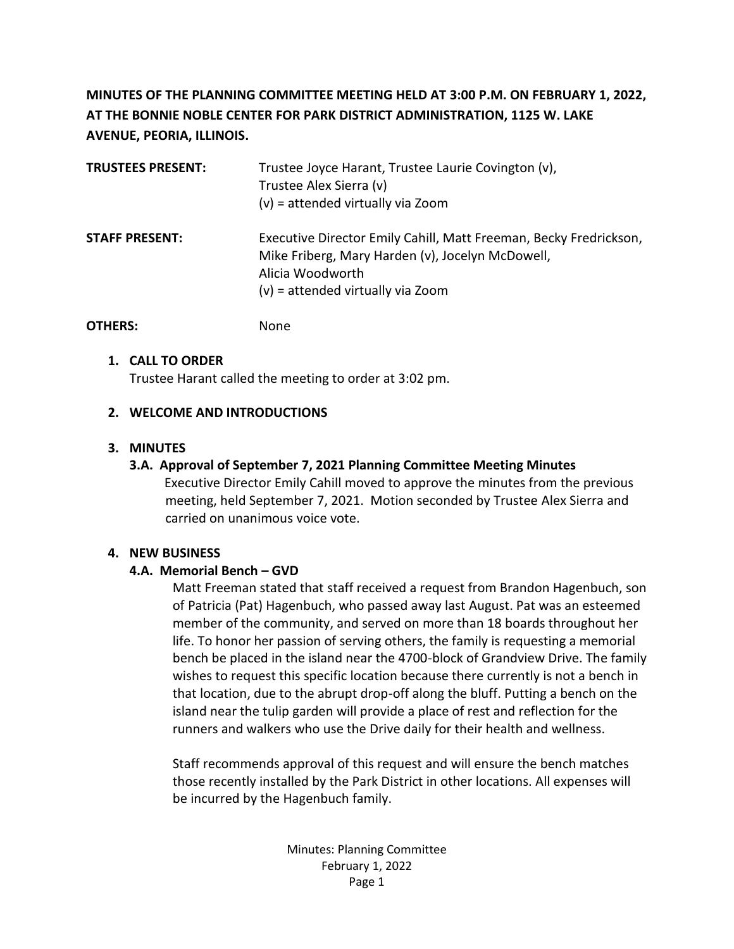## **MINUTES OF THE PLANNING COMMITTEE MEETING HELD AT 3:00 P.M. ON FEBRUARY 1, 2022, AT THE BONNIE NOBLE CENTER FOR PARK DISTRICT ADMINISTRATION, 1125 W. LAKE AVENUE, PEORIA, ILLINOIS.**

| <b>TRUSTEES PRESENT:</b> | Trustee Joyce Harant, Trustee Laurie Covington (v),<br>Trustee Alex Sierra (v)<br>$(v)$ = attended virtually via Zoom                                                            |
|--------------------------|----------------------------------------------------------------------------------------------------------------------------------------------------------------------------------|
| <b>STAFF PRESENT:</b>    | Executive Director Emily Cahill, Matt Freeman, Becky Fredrickson,<br>Mike Friberg, Mary Harden (v), Jocelyn McDowell,<br>Alicia Woodworth<br>$(v)$ = attended virtually via Zoom |

## **1. CALL TO ORDER** Trustee Harant called the meeting to order at 3:02 pm.

## **2. WELCOME AND INTRODUCTIONS**

**OTHERS:** None

## **3. MINUTES**

## **3.A. Approval of September 7, 2021 Planning Committee Meeting Minutes**

Executive Director Emily Cahill moved to approve the minutes from the previous meeting, held September 7, 2021. Motion seconded by Trustee Alex Sierra and carried on unanimous voice vote.

## **4. NEW BUSINESS**

## **4.A. Memorial Bench – GVD**

Matt Freeman stated that staff received a request from Brandon Hagenbuch, son of Patricia (Pat) Hagenbuch, who passed away last August. Pat was an esteemed member of the community, and served on more than 18 boards throughout her life. To honor her passion of serving others, the family is requesting a memorial bench be placed in the island near the 4700-block of Grandview Drive. The family wishes to request this specific location because there currently is not a bench in that location, due to the abrupt drop-off along the bluff. Putting a bench on the island near the tulip garden will provide a place of rest and reflection for the runners and walkers who use the Drive daily for their health and wellness.

Staff recommends approval of this request and will ensure the bench matches those recently installed by the Park District in other locations. All expenses will be incurred by the Hagenbuch family.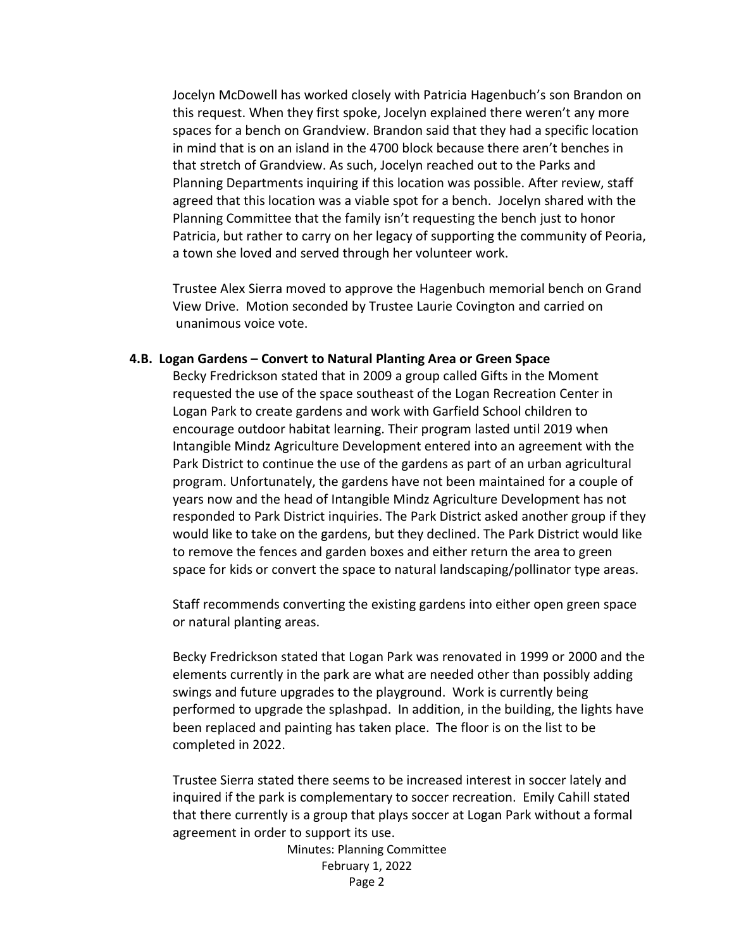Jocelyn McDowell has worked closely with Patricia Hagenbuch's son Brandon on this request. When they first spoke, Jocelyn explained there weren't any more spaces for a bench on Grandview. Brandon said that they had a specific location in mind that is on an island in the 4700 block because there aren't benches in that stretch of Grandview. As such, Jocelyn reached out to the Parks and Planning Departments inquiring if this location was possible. After review, staff agreed that this location was a viable spot for a bench. Jocelyn shared with the Planning Committee that the family isn't requesting the bench just to honor Patricia, but rather to carry on her legacy of supporting the community of Peoria, a town she loved and served through her volunteer work.

Trustee Alex Sierra moved to approve the Hagenbuch memorial bench on Grand View Drive. Motion seconded by Trustee Laurie Covington and carried on unanimous voice vote.

#### **4.B. Logan Gardens – Convert to Natural Planting Area or Green Space**

Becky Fredrickson stated that in 2009 a group called Gifts in the Moment requested the use of the space southeast of the Logan Recreation Center in Logan Park to create gardens and work with Garfield School children to encourage outdoor habitat learning. Their program lasted until 2019 when Intangible Mindz Agriculture Development entered into an agreement with the Park District to continue the use of the gardens as part of an urban agricultural program. Unfortunately, the gardens have not been maintained for a couple of years now and the head of Intangible Mindz Agriculture Development has not responded to Park District inquiries. The Park District asked another group if they would like to take on the gardens, but they declined. The Park District would like to remove the fences and garden boxes and either return the area to green space for kids or convert the space to natural landscaping/pollinator type areas.

Staff recommends converting the existing gardens into either open green space or natural planting areas.

Becky Fredrickson stated that Logan Park was renovated in 1999 or 2000 and the elements currently in the park are what are needed other than possibly adding swings and future upgrades to the playground. Work is currently being performed to upgrade the splashpad. In addition, in the building, the lights have been replaced and painting has taken place. The floor is on the list to be completed in 2022.

Trustee Sierra stated there seems to be increased interest in soccer lately and inquired if the park is complementary to soccer recreation. Emily Cahill stated that there currently is a group that plays soccer at Logan Park without a formal agreement in order to support its use.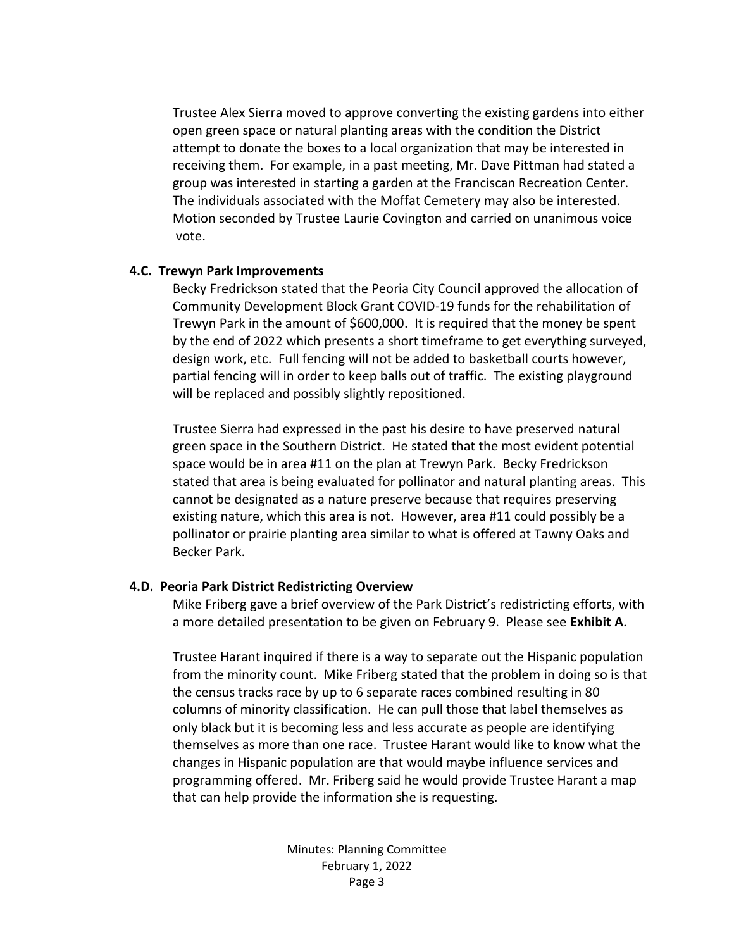Trustee Alex Sierra moved to approve converting the existing gardens into either open green space or natural planting areas with the condition the District attempt to donate the boxes to a local organization that may be interested in receiving them. For example, in a past meeting, Mr. Dave Pittman had stated a group was interested in starting a garden at the Franciscan Recreation Center. The individuals associated with the Moffat Cemetery may also be interested. Motion seconded by Trustee Laurie Covington and carried on unanimous voice vote.

#### **4.C. Trewyn Park Improvements**

Becky Fredrickson stated that the Peoria City Council approved the allocation of Community Development Block Grant COVID-19 funds for the rehabilitation of Trewyn Park in the amount of \$600,000. It is required that the money be spent by the end of 2022 which presents a short timeframe to get everything surveyed, design work, etc. Full fencing will not be added to basketball courts however, partial fencing will in order to keep balls out of traffic. The existing playground will be replaced and possibly slightly repositioned.

Trustee Sierra had expressed in the past his desire to have preserved natural green space in the Southern District. He stated that the most evident potential space would be in area #11 on the plan at Trewyn Park. Becky Fredrickson stated that area is being evaluated for pollinator and natural planting areas. This cannot be designated as a nature preserve because that requires preserving existing nature, which this area is not. However, area #11 could possibly be a pollinator or prairie planting area similar to what is offered at Tawny Oaks and Becker Park.

#### **4.D. Peoria Park District Redistricting Overview**

Mike Friberg gave a brief overview of the Park District's redistricting efforts, with a more detailed presentation to be given on February 9. Please see **Exhibit A**.

Trustee Harant inquired if there is a way to separate out the Hispanic population from the minority count. Mike Friberg stated that the problem in doing so is that the census tracks race by up to 6 separate races combined resulting in 80 columns of minority classification. He can pull those that label themselves as only black but it is becoming less and less accurate as people are identifying themselves as more than one race. Trustee Harant would like to know what the changes in Hispanic population are that would maybe influence services and programming offered. Mr. Friberg said he would provide Trustee Harant a map that can help provide the information she is requesting.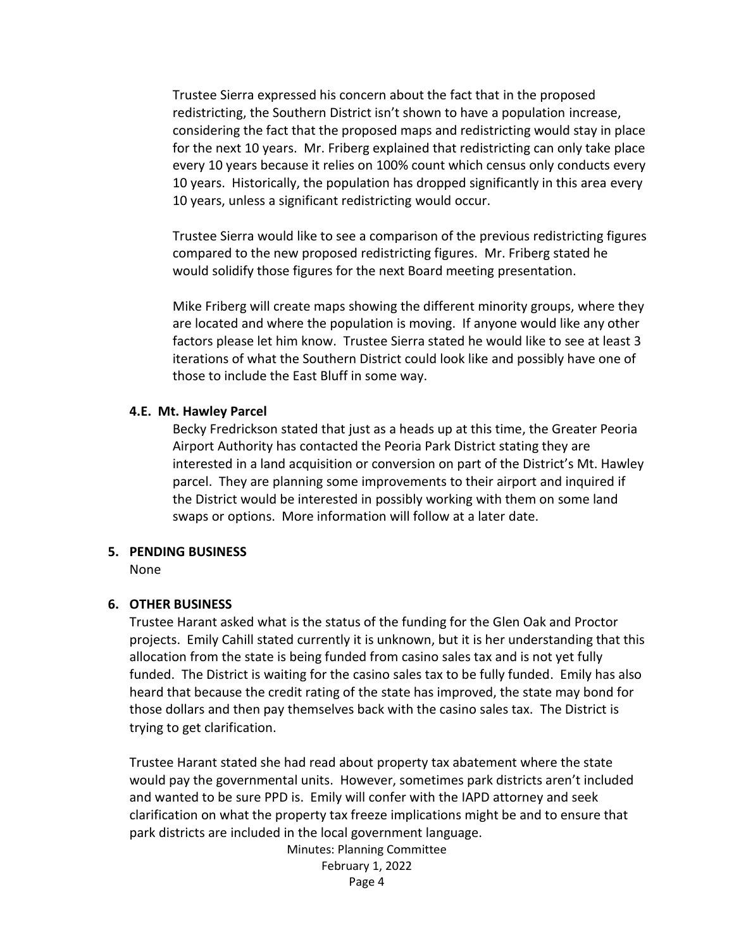Trustee Sierra expressed his concern about the fact that in the proposed redistricting, the Southern District isn't shown to have a population increase, considering the fact that the proposed maps and redistricting would stay in place for the next 10 years. Mr. Friberg explained that redistricting can only take place every 10 years because it relies on 100% count which census only conducts every 10 years. Historically, the population has dropped significantly in this area every 10 years, unless a significant redistricting would occur.

Trustee Sierra would like to see a comparison of the previous redistricting figures compared to the new proposed redistricting figures. Mr. Friberg stated he would solidify those figures for the next Board meeting presentation.

Mike Friberg will create maps showing the different minority groups, where they are located and where the population is moving. If anyone would like any other factors please let him know. Trustee Sierra stated he would like to see at least 3 iterations of what the Southern District could look like and possibly have one of those to include the East Bluff in some way.

#### **4.E. Mt. Hawley Parcel**

Becky Fredrickson stated that just as a heads up at this time, the Greater Peoria Airport Authority has contacted the Peoria Park District stating they are interested in a land acquisition or conversion on part of the District's Mt. Hawley parcel. They are planning some improvements to their airport and inquired if the District would be interested in possibly working with them on some land swaps or options. More information will follow at a later date.

#### **5. PENDING BUSINESS**

None

#### **6. OTHER BUSINESS**

Trustee Harant asked what is the status of the funding for the Glen Oak and Proctor projects. Emily Cahill stated currently it is unknown, but it is her understanding that this allocation from the state is being funded from casino sales tax and is not yet fully funded. The District is waiting for the casino sales tax to be fully funded. Emily has also heard that because the credit rating of the state has improved, the state may bond for those dollars and then pay themselves back with the casino sales tax. The District is trying to get clarification.

Trustee Harant stated she had read about property tax abatement where the state would pay the governmental units. However, sometimes park districts aren't included and wanted to be sure PPD is. Emily will confer with the IAPD attorney and seek clarification on what the property tax freeze implications might be and to ensure that park districts are included in the local government language.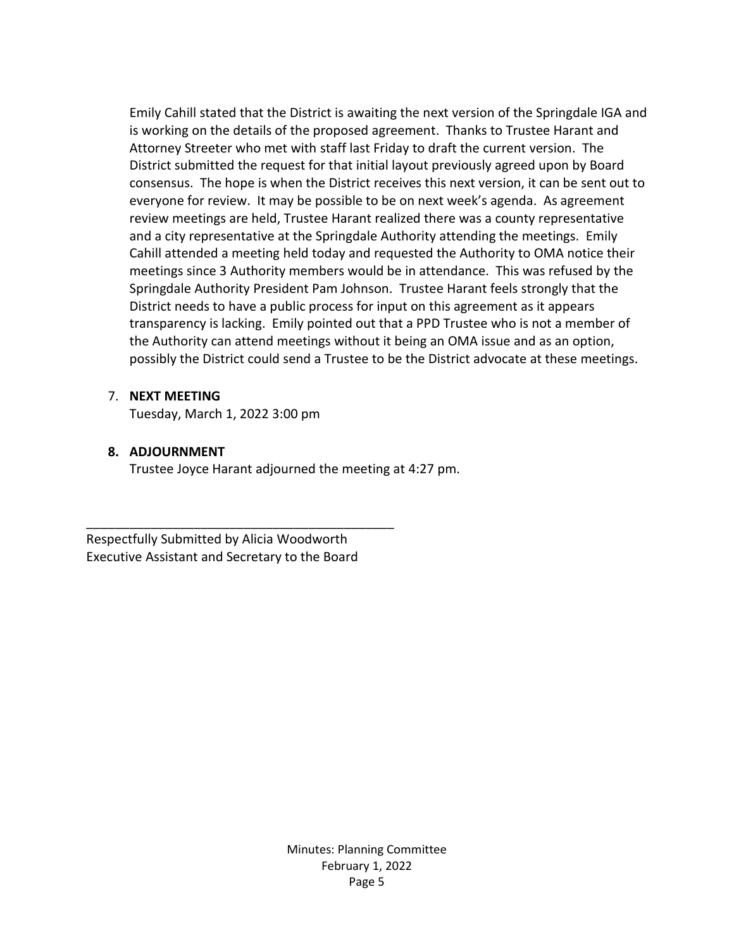Emily Cahill stated that the District is awaiting the next version of the Springdale IGA and is working on the details of the proposed agreement. Thanks to Trustee Harant and Attorney Streeter who met with staff last Friday to draft the current version. The District submitted the request for that initial layout previously agreed upon by Board consensus. The hope is when the District receives this next version, it can be sent out to everyone for review. It may be possible to be on next week's agenda. As agreement review meetings are held, Trustee Harant realized there was a county representative and a city representative at the Springdale Authority attending the meetings. Emily Cahill attended a meeting held today and requested the Authority to OMA notice their meetings since 3 Authority members would be in attendance. This was refused by the Springdale Authority President Pam Johnson. Trustee Harant feels strongly that the District needs to have a public process for input on this agreement as it appears transparency is lacking. Emily pointed out that a PPD Trustee who is not a member of the Authority can attend meetings without it being an OMA issue and as an option, possibly the District could send a Trustee to be the District advocate at these meetings.

### 7. **NEXT MEETING**

Tuesday, March 1, 2022 3:00 pm

### **8. ADJOURNMENT**

Trustee Joyce Harant adjourned the meeting at 4:27 pm.

Respectfully Submitted by Alicia Woodworth Executive Assistant and Secretary to the Board

\_\_\_\_\_\_\_\_\_\_\_\_\_\_\_\_\_\_\_\_\_\_\_\_\_\_\_\_\_\_\_\_\_\_\_\_\_\_\_\_\_\_\_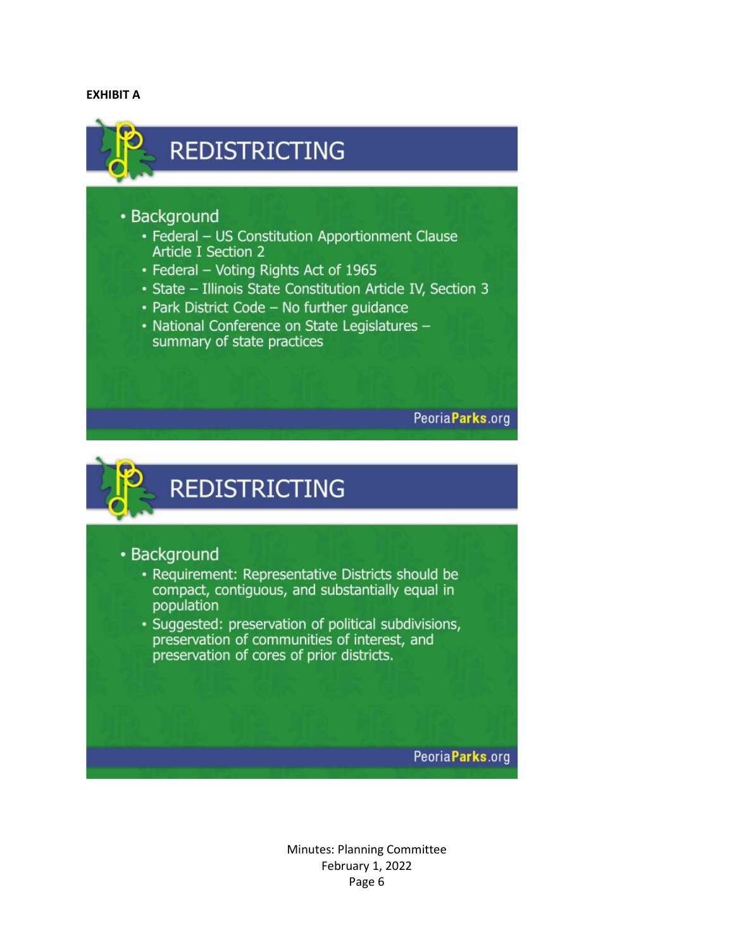#### **EXHIBIT A**



Peoria Parks.org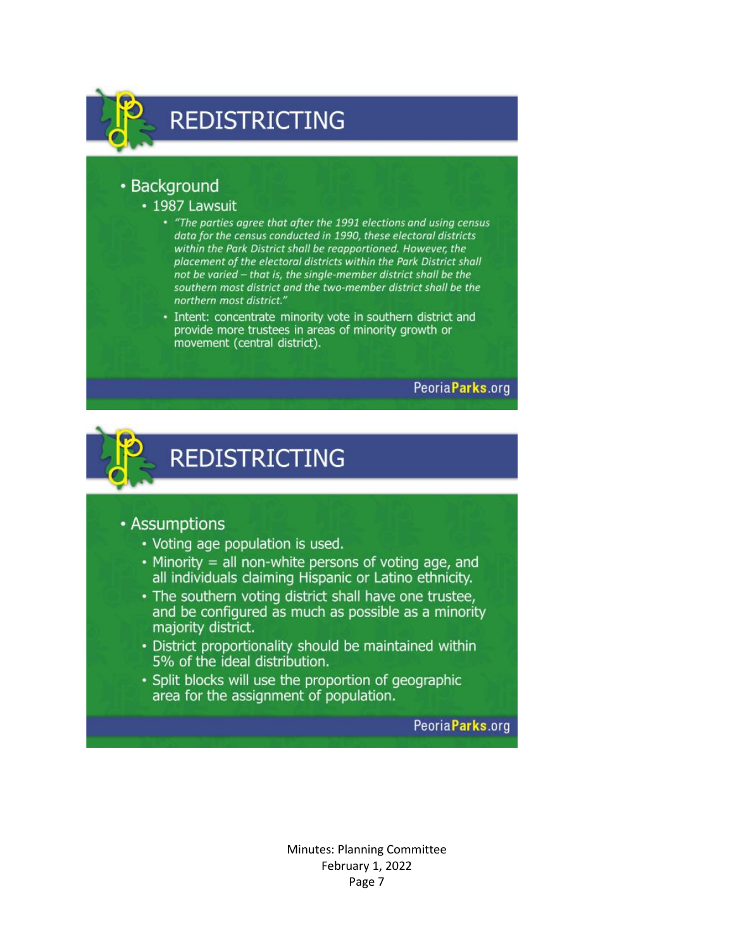

## • Background

#### · 1987 Lawsuit

- "The parties agree that after the 1991 elections and using census data for the census conducted in 1990, these electoral districts within the Park District shall be reapportioned. However, the placement of the electoral districts within the Park District shall not be varied - that is, the single-member district shall be the southern most district and the two-member district shall be the northern most district."
- · Intent: concentrate minority vote in southern district and provide more trustees in areas of minority growth or movement (central district).

Peoria Parks.org



**REDISTRICTING** 

## • Assumptions

- Voting age population is used.
- Minority = all non-white persons of voting age, and all individuals claiming Hispanic or Latino ethnicity.
- . The southern voting district shall have one trustee, and be configured as much as possible as a minority majority district.
- District proportionality should be maintained within 5% of the ideal distribution.
- Split blocks will use the proportion of geographic area for the assignment of population.

Peoria Parks.org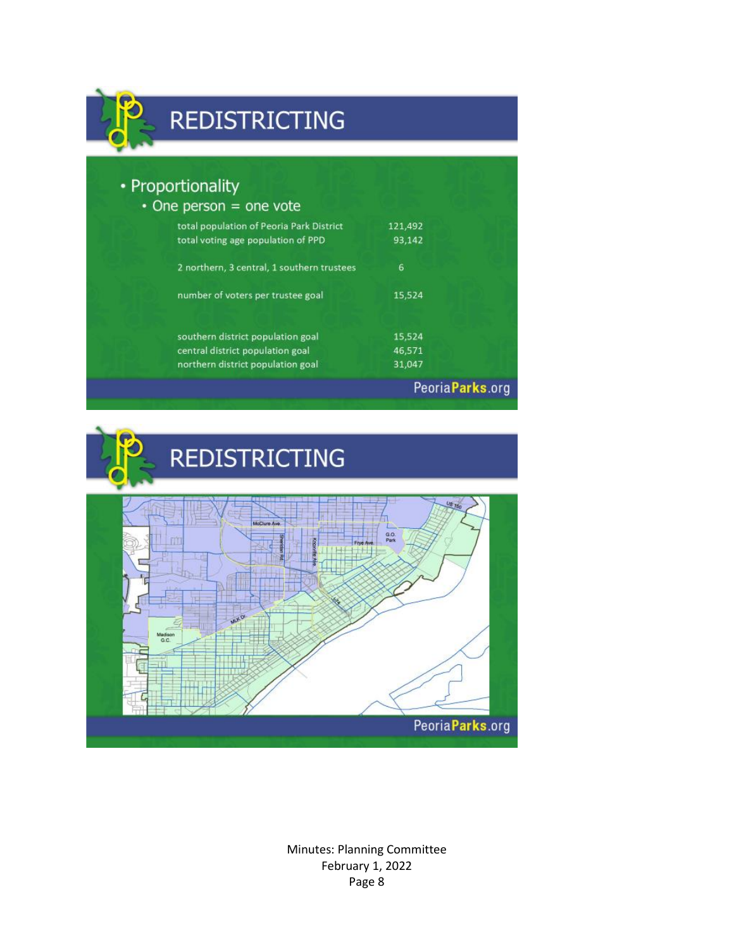

## **REDISTRICTING**

| • Proportionality<br>$\cdot$ One person = one vote                             |                   |                  |
|--------------------------------------------------------------------------------|-------------------|------------------|
| total population of Peoria Park District<br>total voting age population of PPD | 121,492<br>93,142 |                  |
| 2 northern, 3 central, 1 southern trustees                                     | 6                 |                  |
| number of voters per trustee goal                                              | 15,524            |                  |
| southern district population goal                                              | 15,524            |                  |
| central district population goal<br>northern district population goal          | 46,571<br>31,047  |                  |
|                                                                                |                   | Peoria Parks.org |

**REDISTRICTING** 

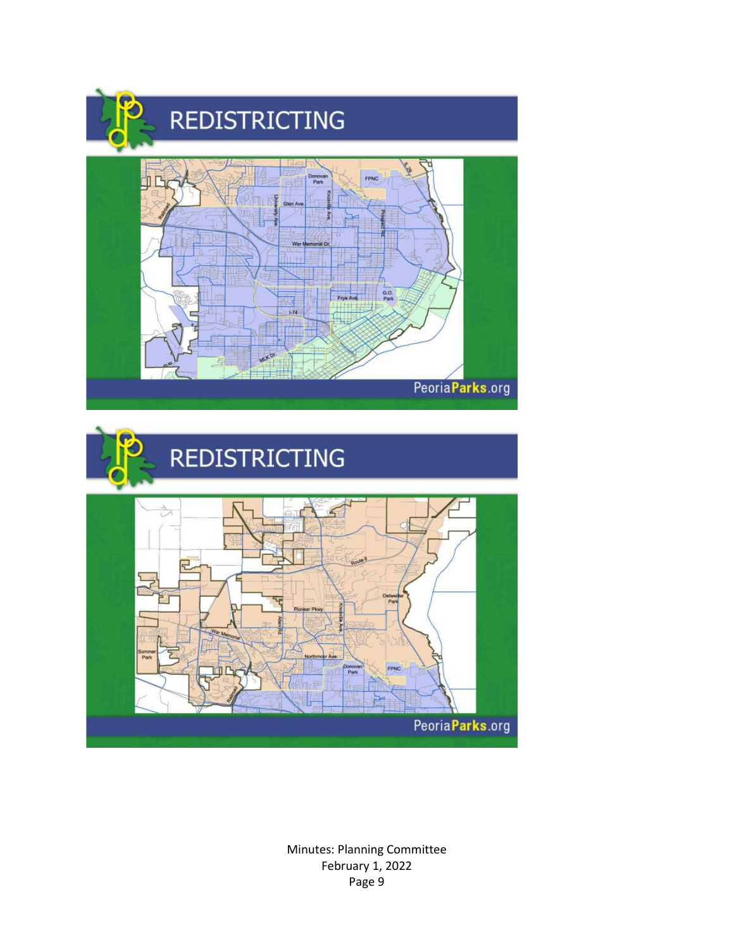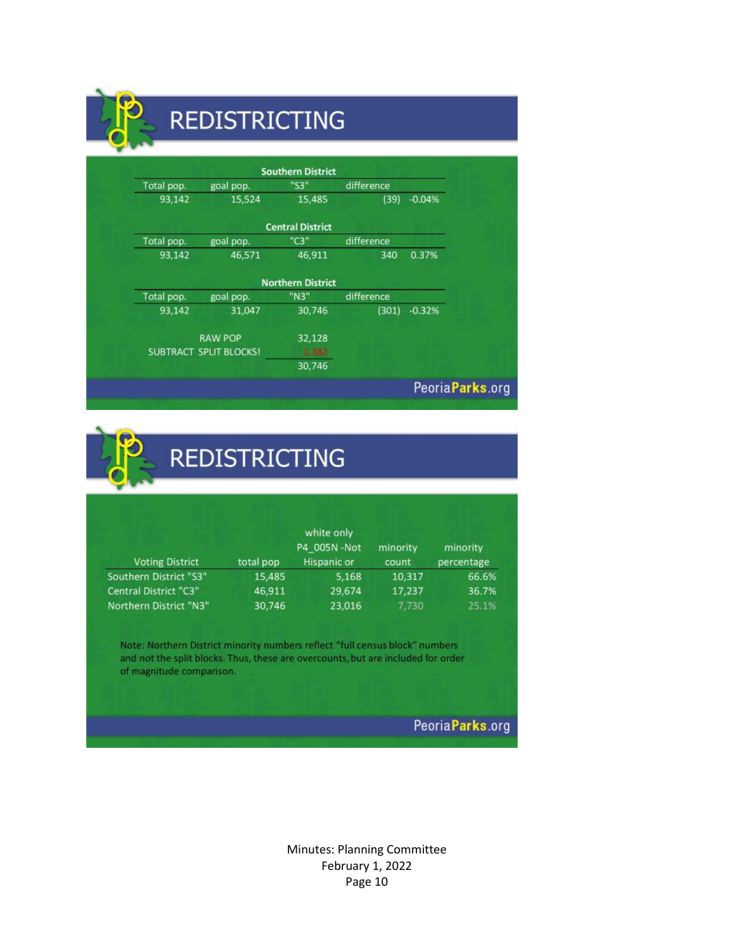## **REDISTRICTING**

|            |                               | <b>Southern District</b> |            |                  |
|------------|-------------------------------|--------------------------|------------|------------------|
| Total pop. | goal pop.                     | "S3"                     | difference |                  |
| 93,142     | 15,524                        | 15,485                   | (39)       | $-0.04%$         |
|            |                               | <b>Central District</b>  |            |                  |
| Total pop. | goal pop.                     | "C3"                     | difference |                  |
| 93,142     | 46,571                        | 46,911                   | 340        | 0.37%            |
|            |                               | <b>Northern District</b> |            |                  |
| Total pop. | goal pop.                     | "N3"                     | difference |                  |
| 93,142     | 31,047                        | 30,746                   | (301)      | $-0.32%$         |
|            | <b>RAW POP</b>                | 32,128                   |            |                  |
|            | <b>SUBTRACT SPLIT BLOCKS!</b> | 1,382                    |            |                  |
|            |                               | 30,746                   |            |                  |
|            |                               |                          |            | Peoria Parks.org |



# **REDISTRICTING**

| <b>Voting District</b>       | total pop | white only<br>P4 005N-Not<br><b>Hispanic or</b> | minority<br>count | minority<br>percentage |
|------------------------------|-----------|-------------------------------------------------|-------------------|------------------------|
| Southern District "S3"       | 15,485    | 5,168                                           | 10,317            | 66.6%                  |
| <b>Central District "C3"</b> | 46,911    | 29,674                                          | 17,237            | 36.7%                  |
| Northern District "N3"       | 30,746    | 23,016                                          | 7.730             | 25.1%                  |

Note: Northern District minority numbers reflect "full census block" numbers and not the split blocks. Thus, these are overcounts, but are included for order of magnitude comparison.

PeoriaParks.org